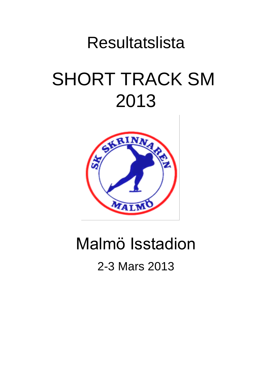# Resultatslista SHORT TRACK SM 2013



## Malmö Isstadion

## 2-3 Mars 2013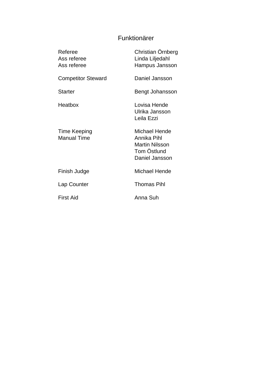### Funktionärer

| Referee<br>Ass referee<br>Ass referee     | Christian Örnberg<br>Linda Liljedahl<br>Hampus Jansson                                 |
|-------------------------------------------|----------------------------------------------------------------------------------------|
| <b>Competitor Steward</b>                 | Daniel Jansson                                                                         |
| Starter                                   | Bengt Johansson                                                                        |
| Heatbox                                   | Lovisa Hende<br>Ulrika Jansson<br>Leila Ezzi                                           |
| <b>Time Keeping</b><br><b>Manual Time</b> | Michael Hende<br>Annika Pihl<br><b>Martin Nilsson</b><br>Tom Östlund<br>Daniel Jansson |
| Finish Judge                              | <b>Michael Hende</b>                                                                   |
| Lap Counter                               | <b>Thomas Pihl</b>                                                                     |
| First Aid                                 | Anna Suh                                                                               |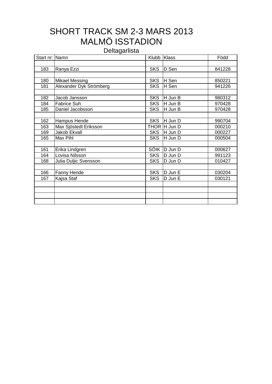## SHORT TRACK SM 2-3 MARS 2013 MALMÖ ISSTADION

**Deltagarlista** 

| Start nr: Namn |                         | Klubb Klass |              | Född   |
|----------------|-------------------------|-------------|--------------|--------|
|                |                         |             |              |        |
| 183            | Ranya Ezzi              | <b>SKS</b>  | D Sen        | 841228 |
|                |                         |             |              |        |
| 180            | <b>Mikael Messing</b>   | <b>SKS</b>  | H Sen        | 850221 |
| 181            | Alexander Dyk Strömberg | <b>SKS</b>  | H Sen        | 941226 |
|                |                         |             |              |        |
| 182            | Jacob Jansson           | <b>SKS</b>  | H Jun B      | 980312 |
| 184            | Fabrice Suh             | <b>SKS</b>  | H Jun B      | 970428 |
| 185            | Daniel Jacobsson        | <b>SKS</b>  | H Jun B      | 970428 |
|                |                         |             |              |        |
| 162            | Hampus Hende            | <b>SKS</b>  | H Jun D      | 990704 |
| 163            | Max Sjöstedt Eriksson   |             | THOR H Jun D | 000210 |
| 169            | Jakob Ekvall            | <b>SKS</b>  | H Jun D      | 000227 |
| 165            | Max Pihl                | <b>SKS</b>  | H Jun D      | 000504 |
|                |                         |             |              |        |
| 161            | Erika Lindgren          | <b>SÖIK</b> | D Jun D      | 000627 |
| 164            | Lovisa Nilsson          | <b>SKS</b>  | D Jun D      | 991123 |
| 168            | Julia Duljic Svensson   | <b>SKS</b>  | D Jun D      | 010427 |
|                |                         |             |              |        |
| 166            | Fanny Hende             | <b>SKS</b>  | D Jun E      | 030204 |
| 167            | Kajsa Staf              | <b>SKS</b>  | D Jun E      | 030121 |
|                |                         |             |              |        |
|                |                         |             |              |        |
|                |                         |             |              |        |
|                |                         |             |              |        |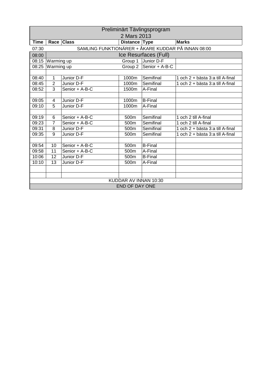| Preliminärt Tävlingsprogram |                |                                                    |                       |                                     |                                   |  |  |  |  |
|-----------------------------|----------------|----------------------------------------------------|-----------------------|-------------------------------------|-----------------------------------|--|--|--|--|
|                             | 2 Mars 2013    |                                                    |                       |                                     |                                   |  |  |  |  |
| Time                        |                | Race Class                                         | Distance Type         |                                     | <b>Marks</b>                      |  |  |  |  |
| 07:30                       |                | SAMLING FUNKTIONÄRER + ÅKARE KUDDAR PÅ INNAN 08:00 |                       |                                     |                                   |  |  |  |  |
| 08:00                       |                |                                                    |                       | Ice Resurfaces (Full)               |                                   |  |  |  |  |
| 08:15                       | Warming up     |                                                    | Group 1               | Junior D-F                          |                                   |  |  |  |  |
| 08:25                       | Warming up     |                                                    |                       | Group $\overline{2}$ Senior + A-B-C |                                   |  |  |  |  |
|                             |                |                                                    |                       |                                     |                                   |  |  |  |  |
| 08:40                       | 1              | Junior D-F                                         | 1000m                 | Semifinal                           | 1 och 2 + bästa 3:a till A-final  |  |  |  |  |
| 08:45                       | $\overline{2}$ | Junior D-F                                         | 1000m                 | Semifinal                           | 1 och 2 + bästa 3:a till A-final  |  |  |  |  |
| 08:52                       | 3              | Senior + A-B-C                                     | 1500m                 | A-Final                             |                                   |  |  |  |  |
|                             |                |                                                    |                       |                                     |                                   |  |  |  |  |
| 09:05                       | 4              | Junior D-F                                         | 1000m                 | <b>B-Final</b>                      |                                   |  |  |  |  |
| 09:10                       | 5              | Junior D-F                                         | 1000m                 | A-Final                             |                                   |  |  |  |  |
|                             |                |                                                    |                       |                                     |                                   |  |  |  |  |
| 09:19                       | 6              | Senior + A-B-C                                     | 500m                  | Semifinal                           | 1 och 2 till A-final              |  |  |  |  |
| 09:23                       | $\overline{7}$ | Senior + A-B-C                                     | 500m                  | Semifinal                           | $\overline{1}$ och 2 till A-final |  |  |  |  |
| 09:31                       | 8              | Junior D-F                                         | 500 <sub>m</sub>      | Semifinal                           | 1 och 2 + bästa 3:a till A-final  |  |  |  |  |
| 09:35                       | $\overline{9}$ | Junior D-F                                         | 500m                  | Semifinal                           | 1 och 2 + bästa 3:a till A-final  |  |  |  |  |
|                             |                |                                                    |                       |                                     |                                   |  |  |  |  |
| 09:54                       | 10             | Senior + A-B-C                                     | 500m                  | <b>B-Final</b>                      |                                   |  |  |  |  |
| 09:58                       | 11             | Senior + A-B-C                                     | 500m                  | A-Final                             |                                   |  |  |  |  |
| 10:06                       | 12             | Junior D-F                                         | 500 <sub>m</sub>      | <b>B-Final</b>                      |                                   |  |  |  |  |
| 10:10                       | 13             | Junior D-F                                         | 500m                  | A-Final                             |                                   |  |  |  |  |
|                             |                |                                                    |                       |                                     |                                   |  |  |  |  |
|                             |                |                                                    |                       |                                     |                                   |  |  |  |  |
|                             |                |                                                    | KUDDAR AV INNAN 10:30 |                                     |                                   |  |  |  |  |
|                             |                |                                                    | <b>END OF DAY ONE</b> |                                     |                                   |  |  |  |  |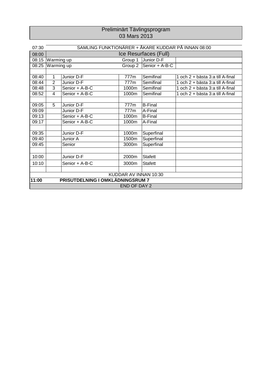#### Preliminärt Tävlingsprogram 03 Mars 2013

| 07:30                 |                       | SAMLING FUNKTIONÄRER + ÅKARE KUDDAR PÅ INNAN 08:00 |                     |                |                                  |  |  |  |  |
|-----------------------|-----------------------|----------------------------------------------------|---------------------|----------------|----------------------------------|--|--|--|--|
| 08:00                 | Ice Resurfaces (Full) |                                                    |                     |                |                                  |  |  |  |  |
| 08:15                 | Warming up            |                                                    | Group 1             | Junior D-F     |                                  |  |  |  |  |
| 08:25                 | Warming up            |                                                    | Group 2             | Senior + A-B-C |                                  |  |  |  |  |
|                       |                       |                                                    |                     |                |                                  |  |  |  |  |
| 08:40                 | 1                     | Junior D-F                                         | 777m                | Semifinal      | 1 och 2 + bästa 3:a till A-final |  |  |  |  |
| 08:44                 | $\overline{2}$        | Junior D-F                                         | 777m                | Semifinal      | 1 och 2 + bästa 3:a till A-final |  |  |  |  |
| 08:48                 | 3                     | Senior + A-B-C                                     | 1000m               | Semifinal      | 1 och 2 + bästa 3:a till A-final |  |  |  |  |
| 08:52                 | 4                     | Senior + A-B-C                                     | 1000m               | Semifinal      | 1 och 2 + bästa 3:a till A-final |  |  |  |  |
|                       |                       |                                                    |                     |                |                                  |  |  |  |  |
| 09:05                 | 5                     | Junior D-F                                         | 777m                | <b>B-Final</b> |                                  |  |  |  |  |
| 09:09                 |                       | Junior D-F                                         | 777m                | A-Final        |                                  |  |  |  |  |
| 09:13                 |                       | Senior + A-B-C                                     | 1000m               | <b>B-Final</b> |                                  |  |  |  |  |
| 09:17                 |                       | Senior + A-B-C                                     | 1000m               | A-Final        |                                  |  |  |  |  |
|                       |                       |                                                    |                     |                |                                  |  |  |  |  |
| 09:35                 |                       | Junior D-F                                         | 1000m               | Superfinal     |                                  |  |  |  |  |
| 09:40                 |                       | Junior A                                           | 1500m               | Superfinal     |                                  |  |  |  |  |
| 09:45                 |                       | Senior                                             | 3000m               | Superfinal     |                                  |  |  |  |  |
|                       |                       |                                                    |                     |                |                                  |  |  |  |  |
| 10:00                 |                       | Junior D-F                                         | 2000m               | <b>Stafett</b> |                                  |  |  |  |  |
| 10:10                 |                       | Senior + A-B-C                                     | 3000m               | <b>Stafett</b> |                                  |  |  |  |  |
|                       |                       |                                                    |                     |                |                                  |  |  |  |  |
| KUDDAR AV INNAN 10:30 |                       |                                                    |                     |                |                                  |  |  |  |  |
| 11:00                 |                       | PRISUTDELNING I OMKLÄDNINGSRUM 7                   |                     |                |                                  |  |  |  |  |
|                       |                       |                                                    | <b>END OF DAY 2</b> |                |                                  |  |  |  |  |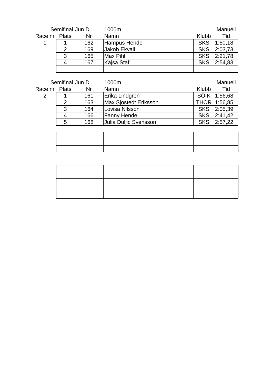| Semifinal Jun D |   |     | 1000m        |            | Manuell |
|-----------------|---|-----|--------------|------------|---------|
| Race nr Plats   |   | Nr  | Namn         | Klubb      | Tid     |
|                 |   | 162 | Hampus Hende | <b>SKS</b> | 1:50,18 |
|                 | າ | 169 | Jakob Ekvall | <b>SKS</b> | 2:03,73 |
|                 | 3 | 165 | Max Pihl     | <b>SKS</b> | 2:21,78 |
|                 | 4 | 167 | Kajsa Staf   | <b>SKS</b> | 2:54.83 |
|                 |   |     |              |            |         |

| Semifinal Jun D |               |     | 1000m                 |            | Manuell      |
|-----------------|---------------|-----|-----------------------|------------|--------------|
| Race nr Plats   |               | Nr  | <b>Namn</b>           | Klubb      | Tid          |
| 2               |               | 161 | Erika Lindgren        |            | SÖIK 1:56,68 |
|                 | $\mathcal{P}$ | 163 | Max Sjöstedt Eriksson |            | THOR 1:56,85 |
|                 | 3             | 164 | Lovisa Nilsson        | <b>SKS</b> | 2:05,39      |
|                 | 4             | 166 | <b>Fanny Hende</b>    | <b>SKS</b> | 2:41,42      |
|                 | 5             | 168 | Uulia Duljic Svensson | <b>SKS</b> | 2:57,22      |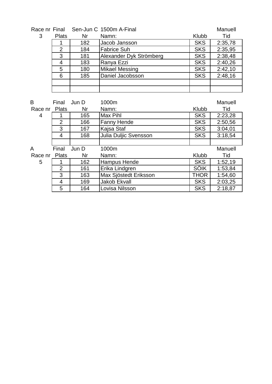### Race nr Final Sen-Jun C 1500m A-Final Manuell Manuell

|   | ווסווו וווכט |     | <b>UCITUATI U TUUUTI AT IIIAI</b> |            | <u>iviariucii</u> |
|---|--------------|-----|-----------------------------------|------------|-------------------|
| 3 | <b>Plats</b> | Nr  | Namn:                             | Klubb      | Tid               |
|   |              | 182 | Jacob Jansson                     | <b>SKS</b> | 2:35,78           |
|   | 2            | 184 | <b>Fabrice Suh</b>                | <b>SKS</b> | 2:35,95           |
|   | 3            | 181 | Alexander Dyk Strömberg           | <b>SKS</b> | 2:38,48           |
|   |              | 183 | Ranya Ezzi                        | <b>SKS</b> | 2:40,26           |
|   | 5            | 180 | Mikael Messing                    | <b>SKS</b> | 2:42,10           |
|   | 6            | 185 | Daniel Jacobsson                  | <b>SKS</b> | 2:48,16           |
|   |              |     |                                   |            |                   |
|   |              |     |                                   |            |                   |

| B       | Final          | Jun D | 1000m                 |             | Manuell |
|---------|----------------|-------|-----------------------|-------------|---------|
| Race nr | <b>Plats</b>   | Nr    | Namn:                 | Klubb       | Tid     |
| 4       |                | 165   | <b>Max Pihl</b>       | <b>SKS</b>  | 2:23,28 |
|         | 2              | 166   | <b>Fanny Hende</b>    | <b>SKS</b>  | 2:50,56 |
|         | 3              | 167   | Kajsa Staf            | <b>SKS</b>  | 3:04,01 |
|         | 4              | 168   | Julia Duljic Svensson | <b>SKS</b>  | 3:18,54 |
|         |                |       |                       |             |         |
| A       | Final          | Jun D | 1000m                 |             | Manuell |
| Race nr | <b>Plats</b>   | Nr    | Namn:                 | Klubb       | Tid     |
| 5       |                | 162   | <b>Hampus Hende</b>   | <b>SKS</b>  | 1:52,19 |
|         | $\overline{2}$ | 161   | Erika Lindgren        | <b>SÖIK</b> | 1:53,84 |
|         | 3              | 163   | Max Sjöstedt Eriksson | <b>THOR</b> | 1:54,60 |
|         | 4              | 169   | <b>Jakob Ekvall</b>   | <b>SKS</b>  | 2:03,25 |
|         | 5              | 164   | Lovisa Nilsson        | <b>SKS</b>  | 2:18,87 |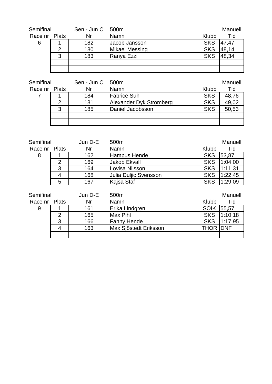| Semifinal     |   | Sen - Jun C 500m |                       |            | Manuell |
|---------------|---|------------------|-----------------------|------------|---------|
| Race nr Plats |   | Nr               | <b>Namn</b>           | Klubb      | Tid     |
| 6             |   | 182              | Jacob Jansson         | <b>SKS</b> | 47,47   |
|               | 2 | 180              | <b>Mikael Messing</b> | <b>SKS</b> | 48,14   |
|               | 3 | 183              | Ranya Ezzi            | <b>SKS</b> | 48,34   |
|               |   |                  |                       |            |         |
|               |   |                  |                       |            |         |

| Semifinal     |   | Sen - Jun C 500m |                         |            | Manuell |
|---------------|---|------------------|-------------------------|------------|---------|
| Race nr Plats |   | Nr               | Namn                    | Klubb      | Tid     |
|               |   | 184              | <b>Fabrice Suh</b>      | <b>SKS</b> | 48,76   |
|               |   | 181              | Alexander Dyk Strömberg | <b>SKS</b> | 49,02   |
|               | 3 | 185              | Daniel Jacobsson        | <b>SKS</b> | 50,53   |
|               |   |                  |                         |            |         |
|               |   |                  |                         |            |         |

| Semifinal     |   | Jun D-E | 500m                  |            | Manuell |
|---------------|---|---------|-----------------------|------------|---------|
| Race nr Plats |   | Nr      | Namn                  | Klubb      | Tid     |
| 8             |   | 162     | Hampus Hende          | <b>SKS</b> | 53,87   |
|               | 2 | 169     | Jakob Ekvall          | <b>SKS</b> | 1:04,00 |
|               | 3 | 164     | Lovisa Nilsson        | <b>SKS</b> | 1:11,31 |
|               |   | 168     | Julia Duljic Svensson | <b>SKS</b> | 1:22,45 |
|               | 5 | 167     | Kajsa Staf            | <b>SKS</b> | 1:29,09 |
|               |   |         |                       |            |         |
| Semifinal     |   | Jun D-E | 500 <sub>m</sub>      |            | Manuell |

| Race nr Plats |   | Nr  | <b>Namn</b>           | Klubb            | Tid     |
|---------------|---|-----|-----------------------|------------------|---------|
| 9             |   | 161 | Erika Lindgren        | <b>SÖIK</b>      | 55,57   |
|               |   | 165 | Max Pihl              | <b>SKS</b>       | 1:10,18 |
|               | 3 | 166 | <b>Fanny Hende</b>    | <b>SKS</b>       | 1:17,95 |
|               |   | 163 | Max Sjöstedt Eriksson | <b>THOR IDNF</b> |         |
|               |   |     |                       |                  |         |
|               |   |     |                       |                  |         |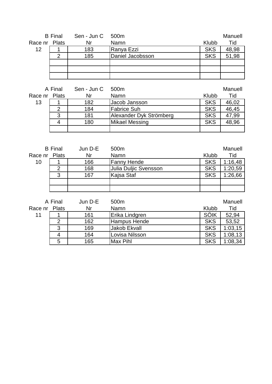|               | <b>B</b> Final                 | Sen - Jun C 500m                                                  |                  |            | Manuell |
|---------------|--------------------------------|-------------------------------------------------------------------|------------------|------------|---------|
| Race nr Plats |                                | Nr                                                                | Namn             | Klubb      | Tid     |
| 12            |                                | 183                                                               | Ranya Ezzi       | <b>SKS</b> | 48,98   |
|               | 2                              | 185                                                               | Daniel Jacobsson | <b>SKS</b> | 51,98   |
|               |                                |                                                                   |                  |            |         |
|               |                                |                                                                   |                  |            |         |
|               |                                |                                                                   |                  |            |         |
|               |                                |                                                                   |                  |            |         |
|               | $\Lambda$ $\Gamma$ : $\Lambda$ | $\sum_{n=1}^{\infty}$ $\sum_{n=1}^{\infty}$ $\sum_{n=1}^{\infty}$ |                  |            | $M = 1$ |

|               | A Final | Sen - Jun C | 500m                    |            | Manuell |
|---------------|---------|-------------|-------------------------|------------|---------|
| Race nr Plats |         | Nr          | Namn                    | Klubb      | Tid     |
| 13            |         | 182         | Jacob Jansson           | <b>SKS</b> | 46,02   |
|               | 2       | 184         | <b>Fabrice Suh</b>      | <b>SKS</b> | 46,45   |
|               | 3       | 181         | Alexander Dyk Strömberg | <b>SKS</b> | 47,99   |
|               | 4       | 180         | <b>Mikael Messing</b>   | <b>SKS</b> | 48,96   |
|               |         |             |                         |            |         |

|               | <b>B</b> Final | Jun D-E | 500 <sub>m</sub>      |            | Manuell |
|---------------|----------------|---------|-----------------------|------------|---------|
| Race nr Plats |                | Nr      | Namn                  | Klubb      | Tid     |
| 10            |                | 166     | <b>Fanny Hende</b>    | <b>SKS</b> | 1:16,48 |
|               | 2              | 168     | Julia Duljic Svensson | <b>SKS</b> | 1:20,59 |
|               | 3              | 167     | Kajsa Staf            | <b>SKS</b> | 1:26,66 |
|               |                |         |                       |            |         |
|               |                |         |                       |            |         |
|               |                |         |                       |            |         |

|         | A Final | Jun D-E | 500m           |            | Manuell |
|---------|---------|---------|----------------|------------|---------|
| Race nr | Plats   | Nr      | Namn           | Klubb      | Tid     |
| 11      |         | 161     | Erika Lindgren | SÖIK       | 52,94   |
|         | 2       | 162     | Hampus Hende   | <b>SKS</b> | 53,52   |
|         | 3       | 169     | Jakob Ekvall   | <b>SKS</b> | 1:03,15 |
|         | 4       | 164     | Lovisa Nilsson | <b>SKS</b> | 1:08,13 |
|         | 5       | 165     | Max Pihl       | <b>SKS</b> | 1:08,34 |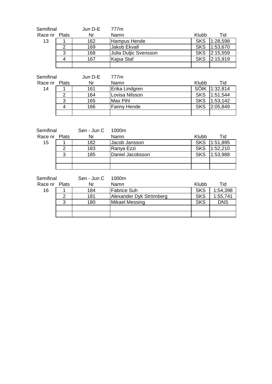| Semifinal     |   | Jun D-E | 777m                  |            |          |
|---------------|---|---------|-----------------------|------------|----------|
| Race nr Plats |   | Nr      | Namn                  | Klubb      | Tid      |
| 13            |   | 162     | Hampus Hende          | <b>SKS</b> | 1:28,598 |
|               | 2 | 169     | Jakob Ekvall          | <b>SKS</b> | 1:53,670 |
|               | 3 | 168     | Julia Duljic Svensson | <b>SKS</b> | 2:15,559 |
|               | 4 | 167     | Kajsa Staf            | <b>SKS</b> | 2:15,919 |
|               |   |         |                       |            |          |

| Semifinal     |   | Jun D-E | 777m               |            |               |
|---------------|---|---------|--------------------|------------|---------------|
| Race nr Plats |   | Nr      | Namn               | Klubb      | Tid           |
| 14            |   | 161     | Erika Lindgren     |            | SÖIK 1:32,814 |
|               | 2 | 164     | Lovisa Nilsson     | <b>SKS</b> | 1:51,544      |
|               | 3 | 165     | Max Pihl           | <b>SKS</b> | 1:53,142      |
|               | 4 | 166     | <b>Fanny Hende</b> | <b>SKS</b> | 2:05,849      |
|               |   |         |                    |            |               |

| Semifinal     |   | Sen - Jun C 1000m |                  |            |          |
|---------------|---|-------------------|------------------|------------|----------|
| Race nr Plats |   | Nr                | Namn             | Klubb      | Tid      |
| 15            |   | 182               | Jacob Jansson    | <b>SKS</b> | 1:51,895 |
|               | 2 | 183               | Ranya Ezzi       | <b>SKS</b> | 1:52,210 |
|               | 3 | 185               | Daniel Jacobsson | <b>SKS</b> | 1:53,988 |
|               |   |                   |                  |            |          |
|               |   |                   |                  |            |          |

| n C |  | 1000m |  |
|-----|--|-------|--|
|     |  |       |  |

| Semifinal     |   | Sen - Jun C | 1000m                   |            |            |
|---------------|---|-------------|-------------------------|------------|------------|
| Race nr Plats |   | Nr          | <b>Namn</b>             | Klubb      | Tid        |
| 16            |   | 184         | <b>Fabrice Suh</b>      | <b>SKS</b> | 1:54,398   |
|               | 2 | 181         | Alexander Dyk Strömberg | <b>SKS</b> | 1:55,741   |
|               | 3 | 180         | Mikael Messing          | <b>SKS</b> | <b>DNS</b> |
|               |   |             |                         |            |            |
|               |   |             |                         |            |            |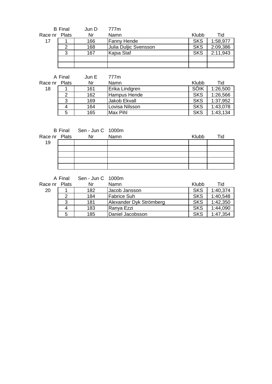|               | <b>B</b> Final | Jun D | 777m                  |            |          |
|---------------|----------------|-------|-----------------------|------------|----------|
| Race nr Plats |                | Nr    | Namn                  | Klubb      | Tid      |
| 17            |                | 166   | <b>Fanny Hende</b>    | <b>SKS</b> | 1:58,977 |
|               | 2              | 168   | Julia Duljic Svensson | <b>SKS</b> | 2:09,386 |
|               | 3              | 167   | Kajsa Staf            | <b>SKS</b> | 2:11,943 |
|               |                |       |                       |            |          |
|               |                |       |                       |            |          |

|         | A Final      | Jun E | 777m                |            |          |
|---------|--------------|-------|---------------------|------------|----------|
| Race nr | <b>Plats</b> | Nr    | Namn                | Klubb      | Tid      |
| 18      |              | 161   | Erika Lindgren      | SÖIK       | 1:26,500 |
|         | 2            | 162   | Hampus Hende        | <b>SKS</b> | 1:26,566 |
|         | 3            | 169   | <b>Jakob Ekvall</b> | <b>SKS</b> | 1:37,952 |
|         |              | 164   | Lovisa Nilsson      | <b>SKS</b> | 1:43,078 |
|         | 5            | 165   | Max Pihl            | <b>SKS</b> | 1:43,134 |

| Race nr Plats | B Final Sen - Jun C 1000m<br><b>Nr</b> | Namn | Klubb | Tid |
|---------------|----------------------------------------|------|-------|-----|
| 19            |                                        |      |       |     |
|               |                                        |      |       |     |
|               |                                        |      |       |     |
|               |                                        |      |       |     |
|               |                                        |      |       |     |

A Final Sen - Jun C 1000m

Race nr Plats Nr Namn Namn Klubb Tid 20 1 | 182 | Jacob Jansson | SKS | 1:40,374 2 184 Fabrice Suh SKS 1:40,548<br>3 181 Alexander Dyk Strömberg SKS 1:42,350 3 181 Alexander Dyk Strömberg SKS 1:42,350<br>4 183 Ranya Ezzi SKS 1:44,090 4 183 Ranya Ezzi<br>5 185 Daniel Jacob 185 | Daniel Jacobsson | SKS | 1:47,354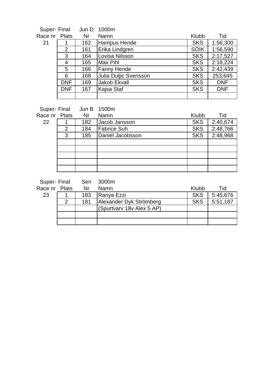| Super- Final  |            | Jun D | 1000m                 |             |            |
|---------------|------------|-------|-----------------------|-------------|------------|
| Race nr Plats |            | Nr    | Namn                  | Klubb       | Tid        |
| 21            |            | 162   | <b>Hampus Hende</b>   | <b>SKS</b>  | 1:56,300   |
|               | 2          | 161   | Erika Lindgren        | <b>SÖIK</b> | 1:56,590   |
|               | 3          | 164   | Lovisa Nilsson        | <b>SKS</b>  | 2:17,527   |
|               | 4          | 165   | Max Pihl              | <b>SKS</b>  | 2:18,224   |
|               | 5          | 166   | <b>Fanny Hende</b>    | <b>SKS</b>  | 2:42,439   |
|               | 6          | 168   | Julia Duljic Svensson | <b>SKS</b>  | 253,645    |
|               | <b>DNF</b> | 169   | Jakob Ekvall          | <b>SKS</b>  | <b>DNF</b> |
|               | <b>DNF</b> | 167   | Kajsa Staf            | <b>SKS</b>  | <b>DNF</b> |
|               |            |       |                       |             |            |
|               |            |       |                       |             |            |

|               |   | Super- Final Jun B 1500m |                  |            |          |
|---------------|---|--------------------------|------------------|------------|----------|
| Race nr Plats |   | - Nr                     | Namn             | Klubb      | Tid      |
| 22            |   | 182                      | Jacob Jansson    | <b>SKS</b> | 2:40,674 |
|               | 2 | 184                      | Fabrice Suh      | <b>SKS</b> | 2:48,766 |
|               | 3 | 185                      | Daniel Jacobsson | <b>SKS</b> | 2:48,968 |
|               |   |                          |                  |            |          |
|               |   |                          |                  |            |          |
|               |   |                          |                  |            |          |
|               |   |                          |                  |            |          |
|               |   |                          |                  |            |          |

Super- Final Sen 3000m<br>Race pr Plats Nr Namn

| Race nr Plats |   | Nr  | Namn                      | Klubb      | Tid      |
|---------------|---|-----|---------------------------|------------|----------|
| 23            |   | 183 | Ranya Ezzi                | <b>SKS</b> | 5:45,676 |
|               | ົ | 181 | Alexander Dyk Strömberg   | <b>SKS</b> | 5:51,187 |
|               |   |     | (Spurtvary 18v Alex 5 AP) |            |          |
|               |   |     |                           |            |          |
|               |   |     |                           |            |          |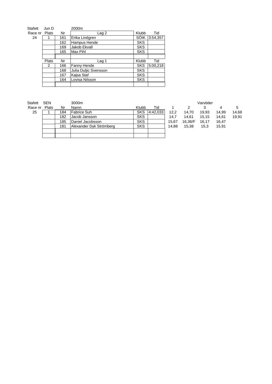| Stafett | Jun D |     | 2000m            |
|---------|-------|-----|------------------|
| Race nr | Plats | Nr  |                  |
| 24      |       | 161 | <b>IErika Li</b> |
|         |       |     |                  |

| ce nr | Plats         | Nr  | Lag 2                 | Klubb      | Tid      |
|-------|---------------|-----|-----------------------|------------|----------|
| 24    |               | 161 | Erika Lindgren        | SÖIK       | 3:54,357 |
|       |               | 162 | Hampus Hende          | <b>SKS</b> |          |
|       |               | 169 | Jakob Ekvall          | <b>SKS</b> |          |
|       |               | 165 | Max Pihl              | <b>SKS</b> |          |
|       |               |     |                       |            |          |
|       | Plats         | Nr  | Lag 1                 | Klubb      | Tid      |
|       | $\mathcal{P}$ | 166 | Fanny Hende           | <b>SKS</b> | 5:00,218 |
|       |               | 168 | Julia Duljic Svensson | <b>SKS</b> |          |
|       |               | 167 | Kajsa Staf            | <b>SKS</b> |          |
|       |               | 164 | Lovisa Nilsson        | <b>SKS</b> |          |
|       |               |     |                       |            |          |

| Stafett | <b>SEN</b> |     | 3000m                   |            |          |       |         | Varvtider |       |       |
|---------|------------|-----|-------------------------|------------|----------|-------|---------|-----------|-------|-------|
| Race nr | Plats      | Nr  | Namn                    | Klubb      | Tid      |       |         |           |       | 5     |
| 25      |            | 184 | Fabrice Suh             | <b>SKS</b> | 4:42.033 | 12.2  | 14.70   | 19,93     | 14.99 | 14,68 |
|         |            | 182 | Jacob Jansson           | <b>SKS</b> |          | 14.7  | 14.61   | 15.15     | 14,61 | 19,91 |
|         |            | 185 | Daniel Jacobsson        | <b>SKS</b> |          | 15.67 | 16.36/F | 16.17     | 16,47 |       |
|         |            | 181 | Alexander Dyk Strömberg | <b>SKS</b> |          | 14.88 | 15.38   | 15,3      | 15,91 |       |
|         |            |     |                         |            |          |       |         |           |       |       |
|         |            |     |                         |            |          |       |         |           |       |       |